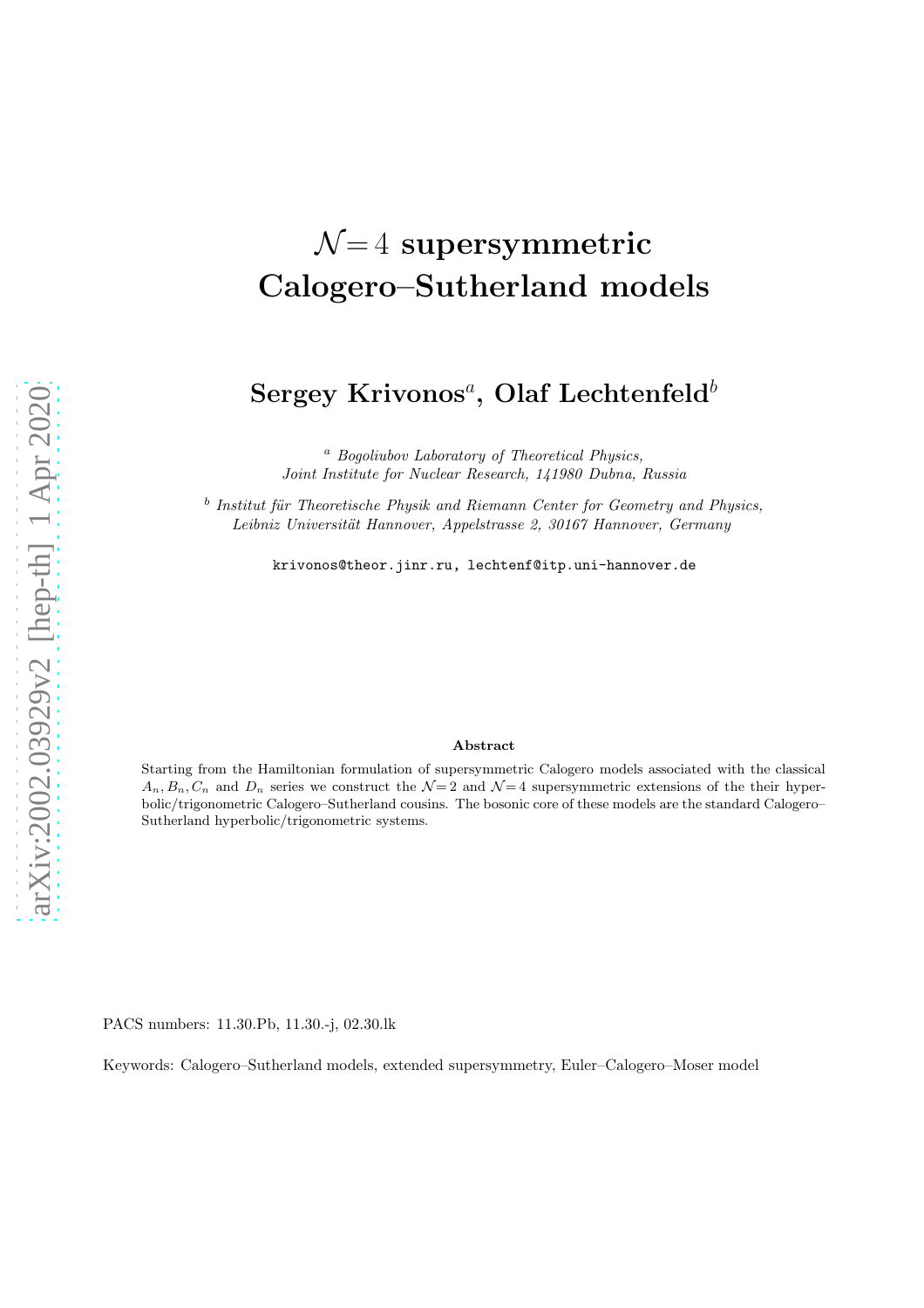# $\mathcal{N}=4$  supersymmetric Calogero–Sutherland models

# $\rm{Sergey~Krivonos}^a,$   $\rm{Olaf~Lechtenfeld}^b$

<sup>a</sup> Bogoliubov Laboratory of Theoretical Physics, Joint Institute for Nuclear Research, 141980 Dubna, Russia

<sup>b</sup> Institut für Theoretische Physik and Riemann Center for Geometry and Physics, Leibniz Universität Hannover, Appelstrasse 2, 30167 Hannover, Germany

krivonos@theor.jinr.ru, lechtenf@itp.uni-hannover.de

#### Abstract

Starting from the Hamiltonian formulation of supersymmetric Calogero models associated with the classical  $A_n, B_n, C_n$  and  $D_n$  series we construct the  $\mathcal{N}=2$  and  $\mathcal{N}=4$  supersymmetric extensions of the their hyperbolic/trigonometric Calogero–Sutherland cousins. The bosonic core of these models are the standard Calogero– Sutherland hyperbolic/trigonometric systems.

PACS numbers: 11.30.Pb, 11.30.-j, 02.30.lk

Keywords: Calogero–Sutherland models, extended supersymmetry, Euler–Calogero–Moser model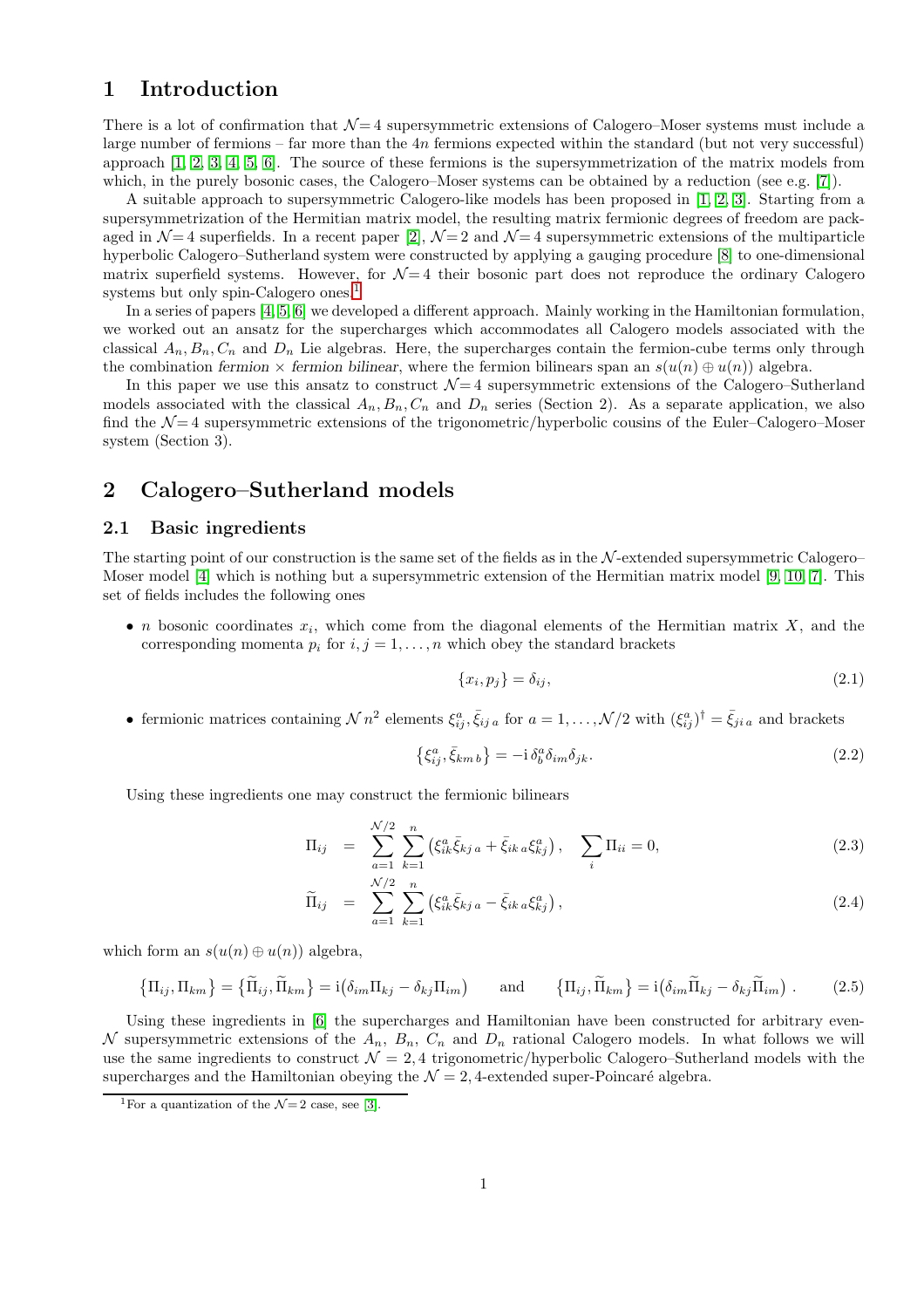# 1 Introduction

There is a lot of confirmation that  $\mathcal{N}=4$  supersymmetric extensions of Calogero–Moser systems must include a large number of fermions – far more than the 4n fermions expected within the standard (but not very successful) approach [\[1,](#page-6-0) [2,](#page-6-1) [3,](#page-6-2) [4,](#page-6-3) [5,](#page-6-4) [6\]](#page-6-5). The source of these fermions is the supersymmetrization of the matrix models from which, in the purely bosonic cases, the Calogero–Moser systems can be obtained by a reduction (see e.g. [\[7\]](#page-6-6)).

A suitable approach to supersymmetric Calogero-like models has been proposed in [\[1,](#page-6-0) [2,](#page-6-1) [3\]](#page-6-2). Starting from a supersymmetrization of the Hermitian matrix model, the resulting matrix fermionic degrees of freedom are packaged in  $\mathcal{N}=4$  superfields. In a recent paper [\[2\]](#page-6-1),  $\mathcal{N}=2$  and  $\mathcal{N}=4$  supersymmetric extensions of the multiparticle hyperbolic Calogero–Sutherland system were constructed by applying a gauging procedure [\[8\]](#page-6-7) to one-dimensional matrix superfield systems. However, for  $\mathcal{N}=4$  their bosonic part does not reproduce the ordinary Calogero systems but only spin-Calogero ones.<sup>[1](#page-1-0)</sup>

In a series of papers [\[4,](#page-6-3) [5,](#page-6-4) [6\]](#page-6-5) we developed a different approach. Mainly working in the Hamiltonian formulation, we worked out an ansatz for the supercharges which accommodates all Calogero models associated with the classical  $A_n, B_n, C_n$  and  $D_n$  Lie algebras. Here, the supercharges contain the fermion-cube terms only through the combination fermion  $\times$  fermion bilinear, where the fermion bilinears span an  $s(u(n) \oplus u(n))$  algebra.

In this paper we use this ansatz to construct  $\mathcal{N}=4$  supersymmetric extensions of the Calogero–Sutherland models associated with the classical  $A_n, B_n, C_n$  and  $D_n$  series (Section 2). As a separate application, we also find the  $\mathcal{N}=4$  supersymmetric extensions of the trigonometric/hyperbolic cousins of the Euler–Calogero–Moser system (Section 3).

# 2 Calogero–Sutherland models

#### 2.1 Basic ingredients

The starting point of our construction is the same set of the fields as in the  $N$ -extended supersymmetric Calogero– Moser model [\[4\]](#page-6-3) which is nothing but a supersymmetric extension of the Hermitian matrix model [\[9,](#page-6-8) [10,](#page-6-9) [7\]](#page-6-6). This set of fields includes the following ones

• *n* bosonic coordinates  $x_i$ , which come from the diagonal elements of the Hermitian matrix X, and the corresponding momenta  $p_i$  for  $i, j = 1, \ldots, n$  which obey the standard brackets

$$
\{x_i, p_j\} = \delta_{ij},\tag{2.1}
$$

• fermionic matrices containing  $\mathcal{N} n^2$  elements  $\xi_{ij}^a$ ,  $\bar{\xi}_{ij}$  a for  $a = 1, \ldots, \mathcal{N}/2$  with  $(\xi_{ij}^a)^{\dagger} = \bar{\xi}_{ji}$  and brackets

$$
\left\{\xi_{ij}^a, \bar{\xi}_{km\,b}\right\} = -\mathrm{i}\,\delta_b^a \delta_{im} \delta_{jk}.\tag{2.2}
$$

Using these ingredients one may construct the fermionic bilinears

<span id="page-1-1"></span>
$$
\Pi_{ij} = \sum_{a=1}^{N/2} \sum_{k=1}^{n} \left( \xi_{ik}^a \bar{\xi}_{kj\,a} + \bar{\xi}_{ik\,a} \xi_{kj}^a \right), \quad \sum_{i} \Pi_{ii} = 0, \tag{2.3}
$$

$$
\widetilde{\Pi}_{ij} = \sum_{a=1}^{N/2} \sum_{k=1}^{n} (\xi_{ik}^a \bar{\xi}_{kj\, a} - \bar{\xi}_{ik\, a} \xi_{kj}^a), \qquad (2.4)
$$

which form an  $s(u(n) \oplus u(n))$  algebra,

$$
\{\Pi_{ij}, \Pi_{km}\} = \{\widetilde{\Pi}_{ij}, \widetilde{\Pi}_{km}\} = i(\delta_{im} \Pi_{kj} - \delta_{kj} \Pi_{im}) \quad \text{and} \quad \{\Pi_{ij}, \widetilde{\Pi}_{km}\} = i(\delta_{im} \widetilde{\Pi}_{kj} - \delta_{kj} \widetilde{\Pi}_{im}) . \tag{2.5}
$$

Using these ingredients in [\[6\]](#page-6-5) the supercharges and Hamiltonian have been constructed for arbitrary even-N supersymmetric extensions of the  $A_n$ ,  $B_n$ ,  $C_n$  and  $D_n$  rational Calogero models. In what follows we will use the same ingredients to construct  $\mathcal{N} = 2, 4$  trigonometric/hyperbolic Calogero–Sutherland models with the supercharges and the Hamiltonian obeying the  $\mathcal{N} = 2, 4$ -extended super-Poincaré algebra.

<span id="page-1-0"></span><sup>&</sup>lt;sup>1</sup>For a quantization of the  $\mathcal{N}=2$  case, see [\[3\]](#page-6-2).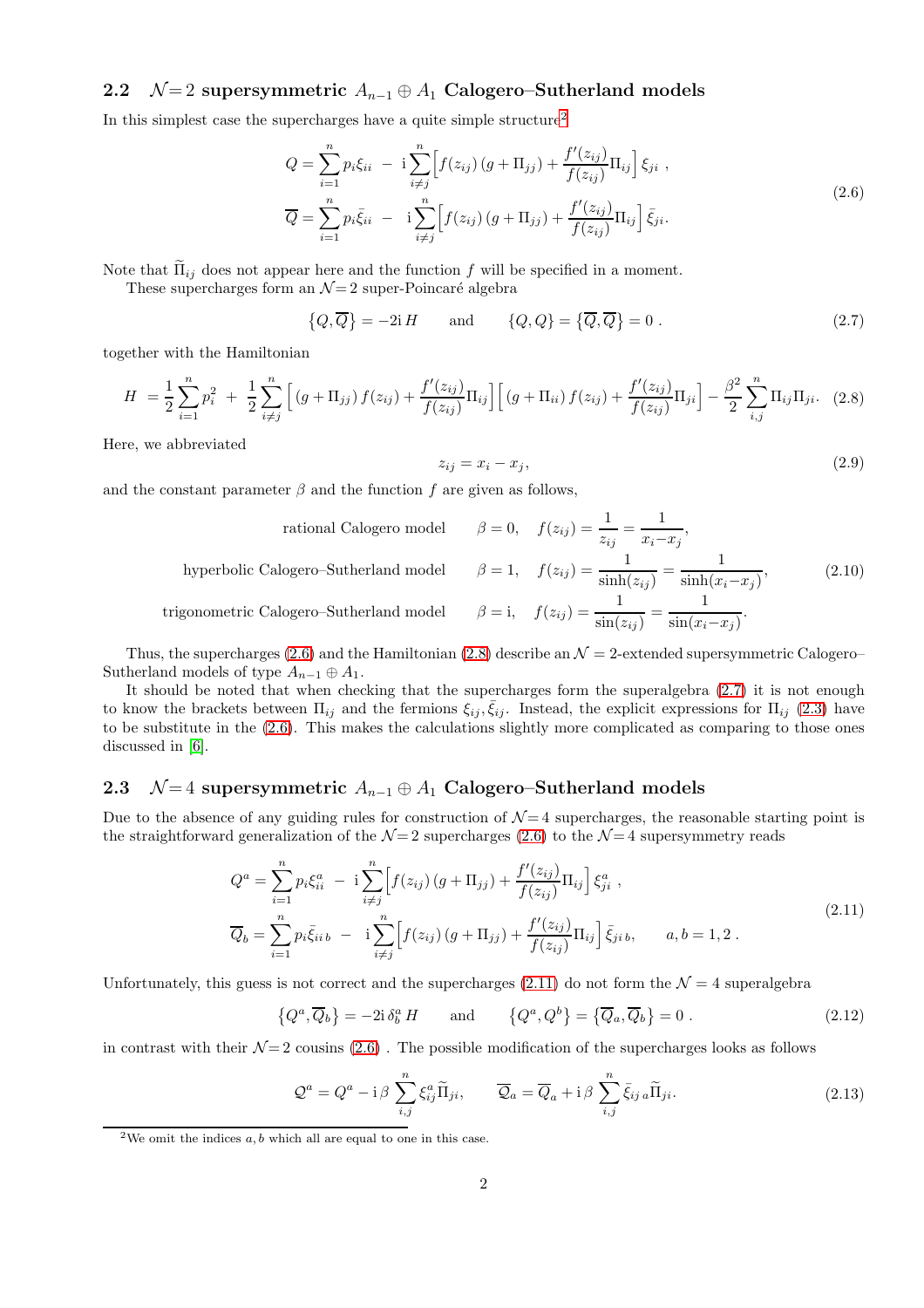### 2.2  $\mathcal{N}=2$  supersymmetric  $A_{n-1}\oplus A_1$  Calogero–Sutherland models

In this simplest case the supercharges have a quite simple structure<sup>[2](#page-2-0)</sup>

<span id="page-2-1"></span>
$$
Q = \sum_{i=1}^{n} p_i \xi_{ii} - i \sum_{i \neq j}^{n} \left[ f(z_{ij}) \left( g + \Pi_{jj} \right) + \frac{f'(z_{ij})}{f(z_{ij})} \Pi_{ij} \right] \xi_{ji} ,
$$
  
\n
$$
\overline{Q} = \sum_{i=1}^{n} p_i \overline{\xi}_{ii} - i \sum_{i \neq j}^{n} \left[ f(z_{ij}) \left( g + \Pi_{jj} \right) + \frac{f'(z_{ij})}{f(z_{ij})} \Pi_{ij} \right] \overline{\xi}_{ji} .
$$
\n(2.6)

Note that  $\tilde{\Pi}_{ij}$  does not appear here and the function f will be specified in a moment.

These supercharges form an  $\mathcal{N}=2$  super-Poincaré algebra

<span id="page-2-3"></span>
$$
\{Q,\overline{Q}\} = -2iH \quad \text{and} \quad \{Q,Q\} = \{\overline{Q},\overline{Q}\} = 0. \tag{2.7}
$$

together with the Hamiltonian

<span id="page-2-2"></span>
$$
H = \frac{1}{2} \sum_{i=1}^{n} p_i^2 + \frac{1}{2} \sum_{i \neq j}^{n} \left[ \left( g + \Pi_{jj} \right) f(z_{ij}) + \frac{f'(z_{ij})}{f(z_{ij})} \Pi_{ij} \right] \left[ \left( g + \Pi_{ii} \right) f(z_{ij}) + \frac{f'(z_{ij})}{f(z_{ij})} \Pi_{ji} \right] - \frac{\beta^2}{2} \sum_{i,j}^{n} \Pi_{ij} \Pi_{ji}. \tag{2.8}
$$

Here, we abbreviated

$$
z_{ij} = x_i - x_j,\tag{2.9}
$$

and the constant parameter  $\beta$  and the function f are given as follows,

<span id="page-2-7"></span>rational Calogero model 
$$
\beta = 0
$$
,  $f(z_{ij}) = \frac{1}{z_{ij}} = \frac{1}{x_i - x_j}$ ,  
hyperbolic Calogero–Sutherland model  $\beta = 1$ ,  $f(z_{ij}) = \frac{1}{\sinh(z_{ij})} = \frac{1}{\sinh(x_i - x_j)}$ , (2.10)  
trigonometric Calogero–Sutherland model  $\beta = 1$ ,  $f(z_{ij}) = \frac{1}{\sin(z_{ij})} = \frac{1}{\sin(x_i - x_j)}$ .

Thus, the supercharges [\(2.6\)](#page-2-1) and the Hamiltonian [\(2.8\)](#page-2-2) describe an  $\mathcal{N}=2$ -extended supersymmetric Calogero– Sutherland models of type  $A_{n-1} \oplus A_1$ .

It should be noted that when checking that the supercharges form the superalgebra [\(2.7\)](#page-2-3) it is not enough to know the brackets between  $\Pi_{ij}$  and the fermions  $\xi_{ij}, \bar{\xi}_{ij}$ . Instead, the explicit expressions for  $\Pi_{ij}$  [\(2.3\)](#page-1-1) have to be substitute in the [\(2.6\)](#page-2-1). This makes the calculations slightly more complicated as comparing to those ones discussed in [\[6\]](#page-6-5).

#### 2.3  $\mathcal{N}=4$  supersymmetric  $A_{n-1}\oplus A_1$  Calogero–Sutherland models

Due to the absence of any guiding rules for construction of  $\mathcal{N}=4$  supercharges, the reasonable starting point is the straightforward generalization of the  $\mathcal{N}=2$  supercharges [\(2.6\)](#page-2-1) to the  $\mathcal{N}=4$  supersymmetry reads

<span id="page-2-4"></span>
$$
Q^{a} = \sum_{i=1}^{n} p_{i} \xi_{ii}^{a} - i \sum_{i \neq j}^{n} \left[ f(z_{ij}) \left( g + \Pi_{jj} \right) + \frac{f'(z_{ij})}{f(z_{ij})} \Pi_{ij} \right] \xi_{ji}^{a} ,
$$
  
\n
$$
\overline{Q}_{b} = \sum_{i=1}^{n} p_{i} \overline{\xi_{ii}}_{b} - i \sum_{i \neq j}^{n} \left[ f(z_{ij}) \left( g + \Pi_{jj} \right) + \frac{f'(z_{ij})}{f(z_{ij})} \Pi_{ij} \right] \overline{\xi_{ji}}_{b}, \qquad a, b = 1, 2 .
$$
\n(2.11)

Unfortunately, this guess is not correct and the supercharges [\(2.11\)](#page-2-4) do not form the  $\mathcal{N}=4$  superalgebra

<span id="page-2-6"></span>
$$
\{Q^a, \overline{Q}_b\} = -2i \,\delta^a_b H \qquad \text{and} \qquad \{Q^a, Q^b\} = \{\overline{Q}_a, \overline{Q}_b\} = 0 \,. \tag{2.12}
$$

in contrast with their  $\mathcal{N}=2$  cousins [\(2.6\)](#page-2-1). The possible modification of the supercharges looks as follows

<span id="page-2-5"></span>
$$
\mathcal{Q}^a = Q^a - \mathrm{i}\,\beta \sum_{i,j}^n \xi_{ij}^a \widetilde{\Pi}_{ji}, \qquad \overline{\mathcal{Q}}_a = \overline{Q}_a + \mathrm{i}\,\beta \sum_{i,j}^n \bar{\xi}_{ij\,a} \widetilde{\Pi}_{ji}.
$$
 (2.13)

<span id="page-2-0"></span><sup>&</sup>lt;sup>2</sup>We omit the indices  $a, b$  which all are equal to one in this case.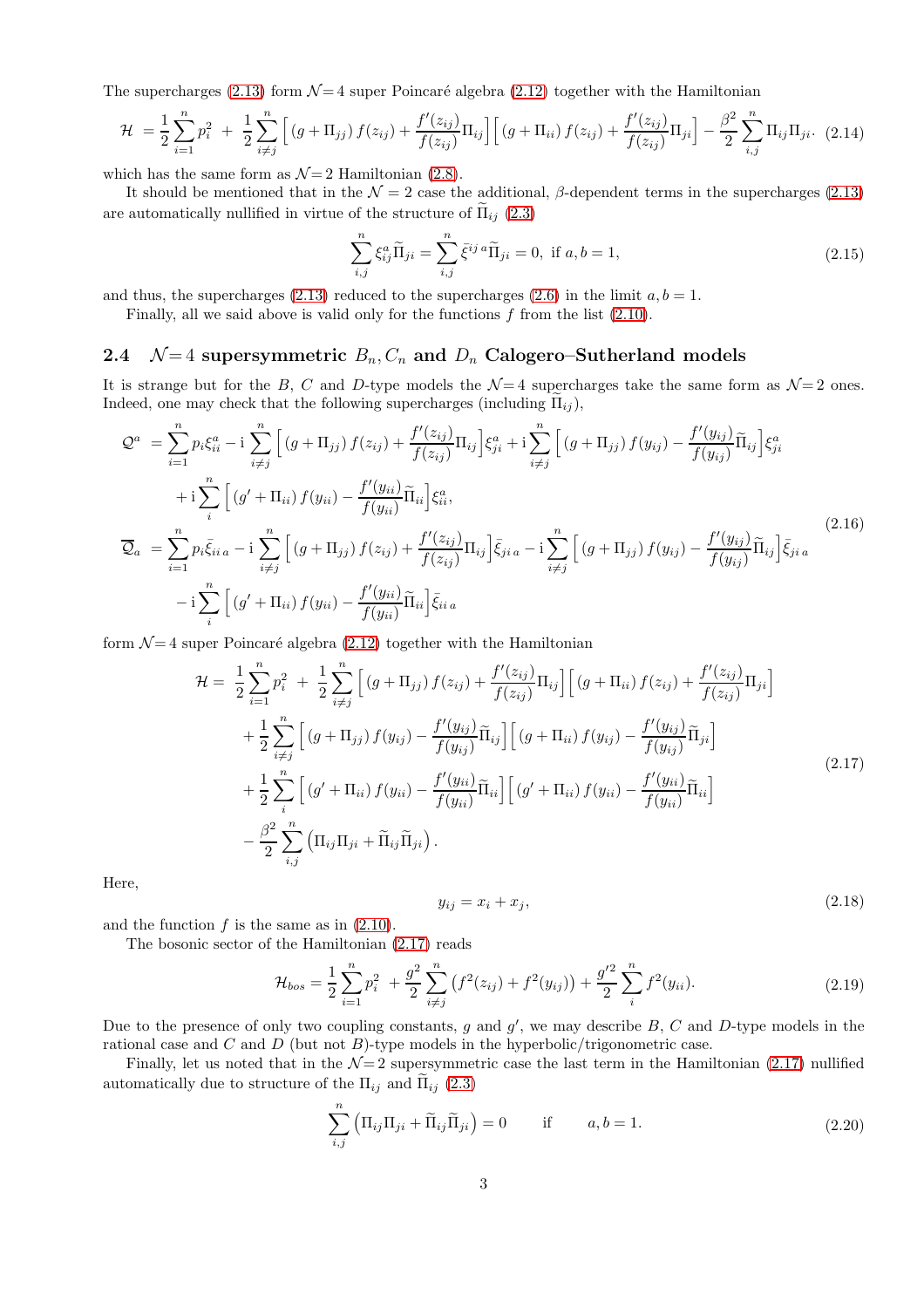The supercharges [\(2.13\)](#page-2-5) form  $\mathcal{N}=4$  super Poincaré algebra [\(2.12\)](#page-2-6) together with the Hamiltonian

$$
\mathcal{H} = \frac{1}{2} \sum_{i=1}^{n} p_i^2 + \frac{1}{2} \sum_{i \neq j}^{n} \left[ \left( g + \Pi_{jj} \right) f(z_{ij}) + \frac{f'(z_{ij})}{f(z_{ij})} \Pi_{ij} \right] \left[ \left( g + \Pi_{ii} \right) f(z_{ij}) + \frac{f'(z_{ij})}{f(z_{ij})} \Pi_{ji} \right] - \frac{\beta^2}{2} \sum_{i,j}^{n} \Pi_{ij} \Pi_{ji}. \tag{2.14}
$$

which has the same form as  $\mathcal{N}=2$  Hamiltonian [\(2.8\)](#page-2-2).

It should be mentioned that in the  $\mathcal{N} = 2$  case the additional,  $\beta$ -dependent terms in the supercharges [\(2.13\)](#page-2-5) are automatically nullified in virtue of the structure of  $\tilde{\Pi}_{ij}$  [\(2.3\)](#page-1-1)

$$
\sum_{i,j}^{n} \xi_{ij}^{a} \tilde{\Pi}_{ji} = \sum_{i,j}^{n} \bar{\xi}^{ij} {^{a}} \tilde{\Pi}_{ji} = 0, \text{ if } a, b = 1,
$$
\n(2.15)

and thus, the supercharges [\(2.13\)](#page-2-5) reduced to the supercharges [\(2.6\)](#page-2-1) in the limit  $a, b = 1$ .

Finally, all we said above is valid only for the functions  $f$  from the list  $(2.10)$ .

#### 2.4  $\mathcal{N}=4$  supersymmetric  $B_n, C_n$  and  $D_n$  Calogero–Sutherland models

It is strange but for the B, C and D-type models the  $\mathcal{N}=4$  supercharges take the same form as  $\mathcal{N}=2$  ones. Indeed, one may check that the following supercharges (including  $\Pi_{ij}$ ),

$$
\mathcal{Q}^{a} = \sum_{i=1}^{n} p_{i} \xi_{ii}^{a} - i \sum_{i \neq j}^{n} \Big[ (g + \Pi_{jj}) f(z_{ij}) + \frac{f'(z_{ij})}{f(z_{ij})} \Pi_{ij} \Big] \xi_{ji}^{a} + i \sum_{i \neq j}^{n} \Big[ (g + \Pi_{jj}) f(y_{ij}) - \frac{f'(y_{ij})}{f(y_{ij})} \Pi_{ij} \Big] \xi_{ji}^{a} \n+ i \sum_{i}^{n} \Big[ (g' + \Pi_{ii}) f(y_{ii}) - \frac{f'(y_{ii})}{f(y_{ii})} \Pi_{ii} \Big] \xi_{ii}^{a},
$$
\n
$$
\overline{\mathcal{Q}}_{a} = \sum_{i=1}^{n} p_{i} \overline{\xi_{ii}}_{a} - i \sum_{i \neq j}^{n} \Big[ (g + \Pi_{jj}) f(z_{ij}) + \frac{f'(z_{ij})}{f(z_{ij})} \Pi_{ij} \Big] \overline{\xi_{ji}}_{a} - i \sum_{i \neq j}^{n} \Big[ (g + \Pi_{jj}) f(y_{ij}) - \frac{f'(y_{ij})}{f(y_{ij})} \Pi_{ij} \Big] \overline{\xi_{ji}}_{a}
$$
\n
$$
- i \sum_{i}^{n} \Big[ (g' + \Pi_{ii}) f(y_{ii}) - \frac{f'(y_{ii})}{f(y_{ii})} \Pi_{ii} \Big] \overline{\xi_{ii}}_{a}
$$
\n
$$
(2.16)
$$

form  $\mathcal{N}=4$  super Poincaré algebra [\(2.12\)](#page-2-6) together with the Hamiltonian

<span id="page-3-0"></span>
$$
\mathcal{H} = \frac{1}{2} \sum_{i=1}^{n} p_i^2 + \frac{1}{2} \sum_{i \neq j}^{n} \left[ (g + \Pi_{jj}) f(z_{ij}) + \frac{f'(z_{ij})}{f(z_{ij})} \Pi_{ij} \right] \left[ (g + \Pi_{ii}) f(z_{ij}) + \frac{f'(z_{ij})}{f(z_{ij})} \Pi_{ji} \right] \n+ \frac{1}{2} \sum_{i \neq j}^{n} \left[ (g + \Pi_{jj}) f(y_{ij}) - \frac{f'(y_{ij})}{f(y_{ij})} \widetilde{\Pi}_{ij} \right] \left[ (g + \Pi_{ii}) f(y_{ij}) - \frac{f'(y_{ij})}{f(y_{ij})} \widetilde{\Pi}_{ji} \right] \n+ \frac{1}{2} \sum_{i}^{n} \left[ (g' + \Pi_{ii}) f(y_{ii}) - \frac{f'(y_{ii})}{f(y_{ii})} \widetilde{\Pi}_{ii} \right] \left[ (g' + \Pi_{ii}) f(y_{ii}) - \frac{f'(y_{ii})}{f(y_{ii})} \widetilde{\Pi}_{ii} \right] \n- \frac{\beta^2}{2} \sum_{i,j}^{n} \left( \Pi_{ij} \Pi_{ji} + \widetilde{\Pi}_{ij} \widetilde{\Pi}_{ji} \right).
$$
\n(2.17)

Here,

$$
y_{ij} = x_i + x_j,\tag{2.18}
$$

and the function  $f$  is the same as in  $(2.10)$ .

The bosonic sector of the Hamiltonian [\(2.17\)](#page-3-0) reads

$$
\mathcal{H}_{bos} = \frac{1}{2} \sum_{i=1}^{n} p_i^2 + \frac{g^2}{2} \sum_{i \neq j}^{n} \left( f^2(z_{ij}) + f^2(y_{ij}) \right) + \frac{g'^2}{2} \sum_{i}^{n} f^2(y_{ii}). \tag{2.19}
$$

Due to the presence of only two coupling constants, g and  $g'$ , we may describe  $B$ ,  $C$  and  $D$ -type models in the rational case and  $C$  and  $D$  (but not  $B$ )-type models in the hyperbolic/trigonometric case.

Finally, let us noted that in the  $\mathcal{N}=2$  supersymmetric case the last term in the Hamiltonian [\(2.17\)](#page-3-0) nullified automatically due to structure of the  $\Pi_{ij}$  and  $\Pi_{ij}$  [\(2.3\)](#page-1-1)

$$
\sum_{i,j}^{n} \left( \Pi_{ij} \Pi_{ji} + \widetilde{\Pi}_{ij} \widetilde{\Pi}_{ji} \right) = 0 \quad \text{if} \quad a, b = 1. \tag{2.20}
$$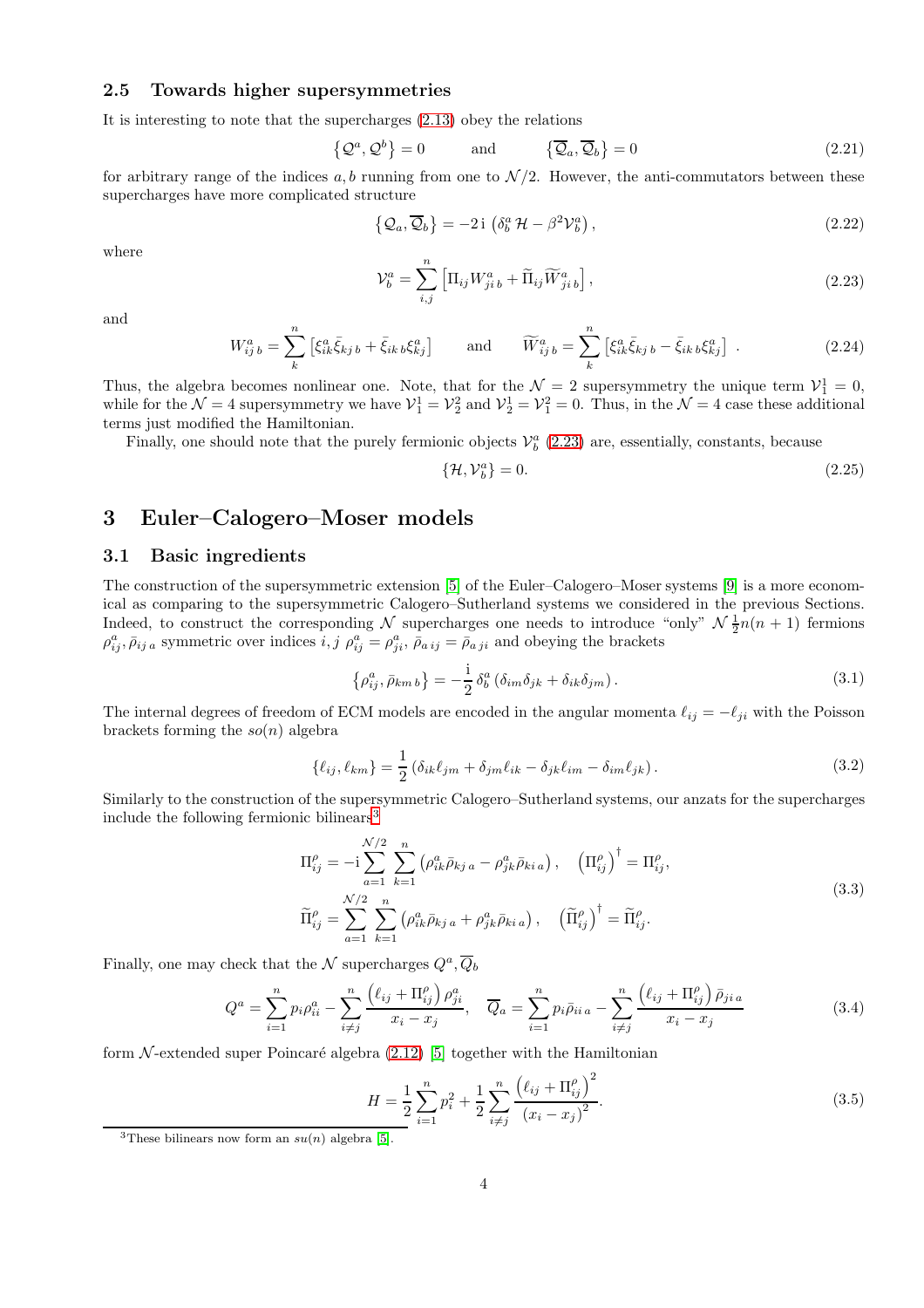#### 2.5 Towards higher supersymmetries

It is interesting to note that the supercharges [\(2.13\)](#page-2-5) obey the relations

$$
\left\{\mathcal{Q}^a, \mathcal{Q}^b\right\} = 0 \quad \text{and} \quad \left\{\overline{\mathcal{Q}}_a, \overline{\mathcal{Q}}_b\right\} = 0 \tag{2.21}
$$

for arbitrary range of the indices  $a, b$  running from one to  $\mathcal{N}/2$ . However, the anti-commutators between these supercharges have more complicated structure

<span id="page-4-4"></span>
$$
\{\mathcal{Q}_a, \overline{\mathcal{Q}}_b\} = -2i \left( \delta^a_b \mathcal{H} - \beta^2 \mathcal{V}^a_b \right),\tag{2.22}
$$

where

<span id="page-4-0"></span>
$$
\mathcal{V}_b^a = \sum_{i,j}^n \left[ \Pi_{ij} W_{ji\,b}^a + \widetilde{\Pi}_{ij} \widetilde{W}_{ji\,b}^a \right],\tag{2.23}
$$

and

$$
W_{ij\;b}^{a} = \sum_{k}^{n} \left[ \xi_{ik}^{a} \bar{\xi}_{kj\;b} + \bar{\xi}_{ik\;b} \xi_{kj}^{a} \right] \quad \text{and} \quad \widetilde{W}_{ij\;b}^{a} = \sum_{k}^{n} \left[ \xi_{ik}^{a} \bar{\xi}_{kj\;b} - \bar{\xi}_{ik\;b} \xi_{kj}^{a} \right] \,. \tag{2.24}
$$

Thus, the algebra becomes nonlinear one. Note, that for the  $\mathcal{N}=2$  supersymmetry the unique term  $\mathcal{V}_1^1=0$ , while for the  $\mathcal{N}=4$  supersymmetry we have  $\mathcal{V}_1^1=\mathcal{V}_2^2$  and  $\mathcal{V}_2^1=\mathcal{V}_1^2=0$ . Thus, in the  $\mathcal{N}=4$  case these additional terms just modified the Hamiltonian.

Finally, one should note that the purely fermionic objects  $\mathcal{V}_b^a$  [\(2.23\)](#page-4-0) are, essentially, constants, because

$$
\{\mathcal{H}, \mathcal{V}_b^a\} = 0. \tag{2.25}
$$

# 3 Euler–Calogero–Moser models

#### 3.1 Basic ingredients

The construction of the supersymmetric extension [\[5\]](#page-6-4) of the Euler–Calogero–Moser systems [\[9\]](#page-6-8) is a more economical as comparing to the supersymmetric Calogero–Sutherland systems we considered in the previous Sections. Indeed, to construct the corresponding N supercharges one needs to introduce "only"  $\mathcal{N}$   $\frac{1}{2}n(n + 1)$  fermions  $\rho_{ij}^a$ ,  $\bar{\rho}_{ij}$  a symmetric over indices  $i, j$   $\rho_{ij}^a = \rho_{ji}^a$ ,  $\bar{\rho}_{aij} = \bar{\rho}_{aji}$  and obeying the brackets

$$
\left\{\rho_{ij}^a, \bar{\rho}_{km\,b}\right\} = -\frac{i}{2} \,\delta_b^a \left(\delta_{im}\delta_{jk} + \delta_{ik}\delta_{jm}\right). \tag{3.1}
$$

The internal degrees of freedom of ECM models are encoded in the angular momenta  $\ell_{ij} = -\ell_{ji}$  with the Poisson brackets forming the  $so(n)$  algebra

$$
\{\ell_{ij}, \ell_{km}\} = \frac{1}{2} \left( \delta_{ik}\ell_{jm} + \delta_{jm}\ell_{ik} - \delta_{jk}\ell_{im} - \delta_{im}\ell_{jk} \right). \tag{3.2}
$$

Similarly to the construction of the supersymmetric Calogero–Sutherland systems, our anzats for the supercharges include the following fermionic bilinears[3](#page-4-1)

<span id="page-4-3"></span>
$$
\Pi_{ij}^{\rho} = -i \sum_{a=1}^{N/2} \sum_{k=1}^{n} (\rho_{ik}^{a} \bar{\rho}_{kj a} - \rho_{jk}^{a} \bar{\rho}_{ki a}), \quad \left(\Pi_{ij}^{\rho}\right)^{\dagger} = \Pi_{ij}^{\rho},
$$
\n
$$
\widetilde{\Pi}_{ij}^{\rho} = \sum_{a=1}^{N/2} \sum_{k=1}^{n} (\rho_{ik}^{a} \bar{\rho}_{kj a} + \rho_{jk}^{a} \bar{\rho}_{ki a}), \quad \left(\widetilde{\Pi}_{ij}^{\rho}\right)^{\dagger} = \widetilde{\Pi}_{ij}^{\rho}.
$$
\n(3.3)

Finally, one may check that the  $\mathcal N$  supercharges  $Q^a, \overline Q_b$ 

<span id="page-4-2"></span>
$$
Q^{a} = \sum_{i=1}^{n} p_{i} \rho_{ii}^{a} - \sum_{i \neq j}^{n} \frac{\left(\ell_{ij} + \Pi_{ij}^{\rho}\right) \rho_{ji}^{a}}{x_{i} - x_{j}}, \quad \overline{Q}_{a} = \sum_{i=1}^{n} p_{i} \bar{\rho}_{ii}{}_{a} - \sum_{i \neq j}^{n} \frac{\left(\ell_{ij} + \Pi_{ij}^{\rho}\right) \bar{\rho}_{ji}{}_{a}}{x_{i} - x_{j}}
$$
(3.4)

form  $\mathcal N$ -extended super Poincaré algebra [\(2.12\)](#page-2-6) [\[5\]](#page-6-4) together with the Hamiltonian

$$
H = \frac{1}{2} \sum_{i=1}^{n} p_i^2 + \frac{1}{2} \sum_{i \neq j}^{n} \frac{\left(\ell_{ij} + \Pi_{ij}^{\rho}\right)^2}{\left(x_i - x_j\right)^2}.
$$
 (3.5)

<span id="page-4-1"></span><sup>&</sup>lt;sup>3</sup>These bilinears now form an  $su(n)$  algebra [\[5\]](#page-6-4).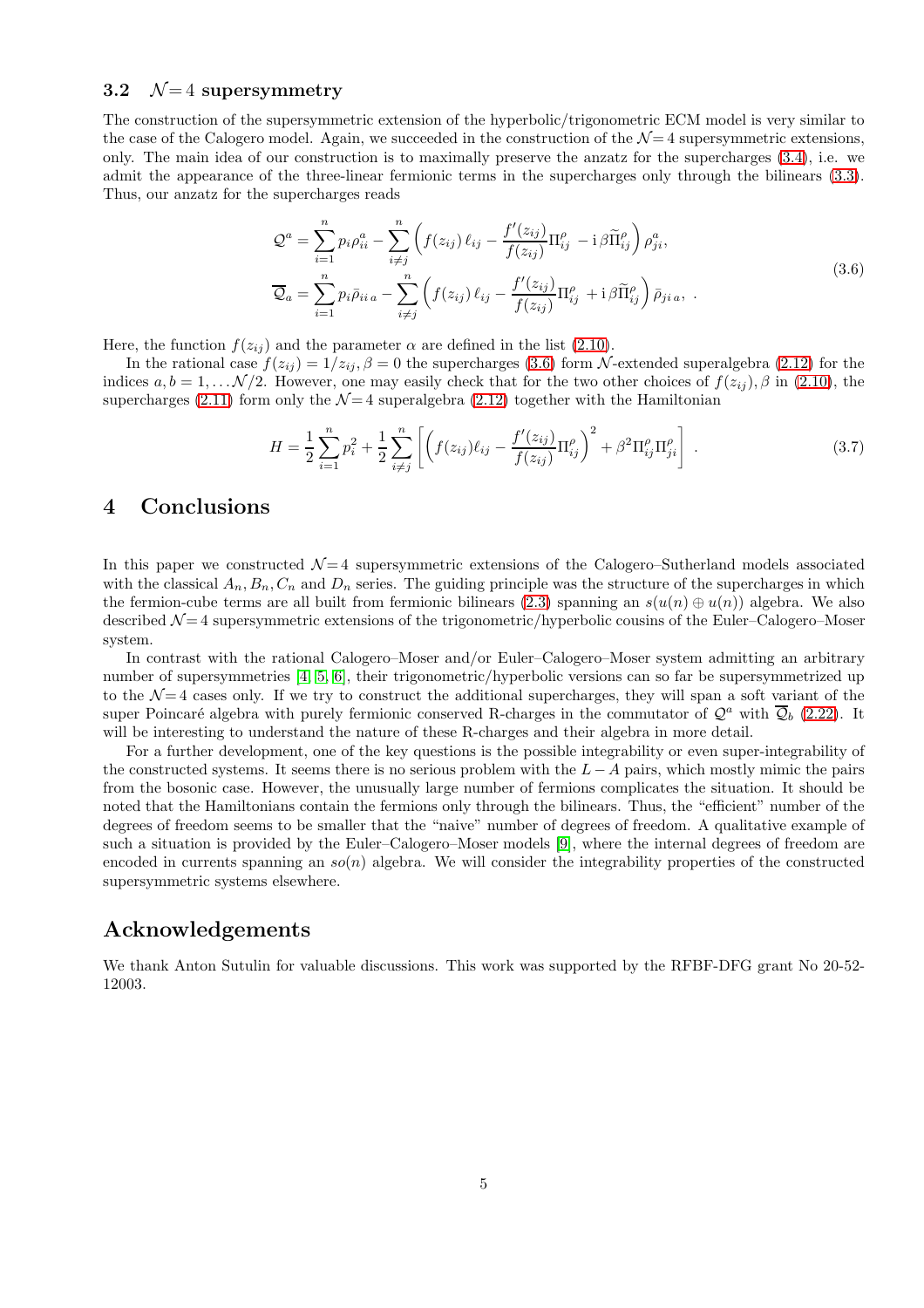#### 3.2  $\mathcal{N}=4$  supersymmetry

The construction of the supersymmetric extension of the hyperbolic/trigonometric ECM model is very similar to the case of the Calogero model. Again, we succeeded in the construction of the  $\mathcal{N}=4$  supersymmetric extensions, only. The main idea of our construction is to maximally preserve the anzatz for the supercharges [\(3.4\)](#page-4-2), i.e. we admit the appearance of the three-linear fermionic terms in the supercharges only through the bilinears [\(3.3\)](#page-4-3). Thus, our anzatz for the supercharges reads

<span id="page-5-0"></span>
$$
\mathcal{Q}^{a} = \sum_{i=1}^{n} p_{i} \rho_{ii}^{a} - \sum_{i \neq j}^{n} \left( f(z_{ij}) \ell_{ij} - \frac{f'(z_{ij})}{f(z_{ij})} \Pi_{ij}^{\rho} - i \beta \widetilde{\Pi}_{ij}^{\rho} \right) \rho_{ji}^{a},
$$
  

$$
\overline{\mathcal{Q}}_{a} = \sum_{i=1}^{n} p_{i} \overline{\rho}_{ii} a - \sum_{i \neq j}^{n} \left( f(z_{ij}) \ell_{ij} - \frac{f'(z_{ij})}{f(z_{ij})} \Pi_{ij}^{\rho} + i \beta \widetilde{\Pi}_{ij}^{\rho} \right) \overline{\rho}_{ji} a, .
$$
\n(3.6)

Here, the function  $f(z_{ij})$  and the parameter  $\alpha$  are defined in the list [\(2.10\)](#page-2-7).

In the rational case  $f(z_{ij}) = 1/z_{ij}$ ,  $\beta = 0$  the supercharges [\(3.6\)](#page-5-0) form N-extended superalgebra [\(2.12\)](#page-2-6) for the indices  $a, b = 1, \ldots \mathcal{N}/2$ . However, one may easily check that for the two other choices of  $f(z_{ij}), \beta$  in [\(2.10\)](#page-2-7), the supercharges [\(2.11\)](#page-2-4) form only the  $\mathcal{N}=4$  superalgebra [\(2.12\)](#page-2-6) together with the Hamiltonian

$$
H = \frac{1}{2} \sum_{i=1}^{n} p_i^2 + \frac{1}{2} \sum_{i \neq j}^{n} \left[ \left( f(z_{ij}) \ell_{ij} - \frac{f'(z_{ij})}{f(z_{ij})} \Pi_{ij}^{\rho} \right)^2 + \beta^2 \Pi_{ij}^{\rho} \Pi_{ji}^{\rho} \right] . \tag{3.7}
$$

## 4 Conclusions

In this paper we constructed  $\mathcal{N}=4$  supersymmetric extensions of the Calogero–Sutherland models associated with the classical  $A_n, B_n, C_n$  and  $D_n$  series. The guiding principle was the structure of the supercharges in which the fermion-cube terms are all built from fermionic bilinears [\(2.3\)](#page-1-1) spanning an  $s(u(n) \oplus u(n))$  algebra. We also described  $\mathcal{N}=4$  supersymmetric extensions of the trigonometric/hyperbolic cousins of the Euler–Calogero–Moser system.

In contrast with the rational Calogero–Moser and/or Euler–Calogero–Moser system admitting an arbitrary number of supersymmetries [\[4,](#page-6-3) [5,](#page-6-4) [6\]](#page-6-5), their trigonometric/hyperbolic versions can so far be supersymmetrized up to the  $\mathcal{N}=4$  cases only. If we try to construct the additional supercharges, they will span a soft variant of the super Poincaré algebra with purely fermionic conserved R-charges in the commutator of  $\mathcal{Q}^a$  with  $\overline{\mathcal{Q}}_b$  [\(2.22\)](#page-4-4). It will be interesting to understand the nature of these R-charges and their algebra in more detail.

For a further development, one of the key questions is the possible integrability or even super-integrability of the constructed systems. It seems there is no serious problem with the  $L - A$  pairs, which mostly mimic the pairs from the bosonic case. However, the unusually large number of fermions complicates the situation. It should be noted that the Hamiltonians contain the fermions only through the bilinears. Thus, the "efficient" number of the degrees of freedom seems to be smaller that the "naive" number of degrees of freedom. A qualitative example of such a situation is provided by the Euler–Calogero–Moser models [\[9\]](#page-6-8), where the internal degrees of freedom are encoded in currents spanning an  $so(n)$  algebra. We will consider the integrability properties of the constructed supersymmetric systems elsewhere.

### Acknowledgements

We thank Anton Sutulin for valuable discussions. This work was supported by the RFBF-DFG grant No 20-52- 12003.